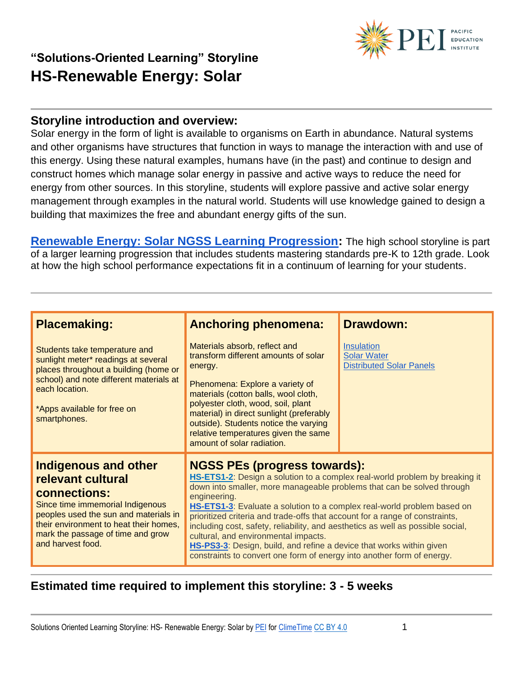

#### **Storyline introduction and overview:**

Solar energy in the form of light is available to organisms on Earth in abundance. Natural systems and other organisms have structures that function in ways to manage the interaction with and use of this energy. Using these natural examples, humans have (in the past) and continue to design and construct homes which manage solar energy in passive and active ways to reduce the need for energy from other sources. In this storyline, students will explore passive and active solar energy management through examples in the natural world. Students will use knowledge gained to design a building that maximizes the free and abundant energy gifts of the sun.

**[Renewable Energy: Solar NGSS Learning Progression:](https://docs.google.com/spreadsheets/d/1P_7X4b6M27s-iedl49quifclWoNdNKG3TK-4szP-rLc/edit?usp=sharing)** The high school storyline is part of a larger learning progression that includes students mastering standards pre-K to 12th grade. Look at how the high school performance expectations fit in a continuum of learning for your students.

| <b>Placemaking:</b>                                                                                                                                                                                                                               | <b>Anchoring phenomena:</b><br>Materials absorb, reflect and                                                                                                                                                                                                                                                                                                                                                                                                                                                                                                                                                                                         | <b>Drawdown:</b><br><b>Insulation</b>                 |
|---------------------------------------------------------------------------------------------------------------------------------------------------------------------------------------------------------------------------------------------------|------------------------------------------------------------------------------------------------------------------------------------------------------------------------------------------------------------------------------------------------------------------------------------------------------------------------------------------------------------------------------------------------------------------------------------------------------------------------------------------------------------------------------------------------------------------------------------------------------------------------------------------------------|-------------------------------------------------------|
| Students take temperature and<br>sunlight meter* readings at several<br>places throughout a building (home or<br>school) and note different materials at<br>each location.<br>*Apps available for free on<br>smartphones.                         | transform different amounts of solar<br>energy.<br>Phenomena: Explore a variety of<br>materials (cotton balls, wool cloth,<br>polyester cloth, wood, soil, plant<br>material) in direct sunlight (preferably<br>outside). Students notice the varying<br>relative temperatures given the same<br>amount of solar radiation.                                                                                                                                                                                                                                                                                                                          | <b>Solar Water</b><br><b>Distributed Solar Panels</b> |
| <b>Indigenous and other</b><br>relevant cultural<br>connections:<br>Since time immemorial Indigenous<br>peoples used the sun and materials in<br>their environment to heat their homes,<br>mark the passage of time and grow<br>and harvest food. | <b>NGSS PEs (progress towards):</b><br>HS-ETS1-2: Design a solution to a complex real-world problem by breaking it<br>down into smaller, more manageable problems that can be solved through<br>engineering.<br>HS-ETS1-3: Evaluate a solution to a complex real-world problem based on<br>prioritized criteria and trade-offs that account for a range of constraints,<br>including cost, safety, reliability, and aesthetics as well as possible social,<br>cultural, and environmental impacts.<br>HS-PS3-3: Design, build, and refine a device that works within given<br>constraints to convert one form of energy into another form of energy. |                                                       |

#### **Estimated time required to implement this storyline: 3 - 5 weeks**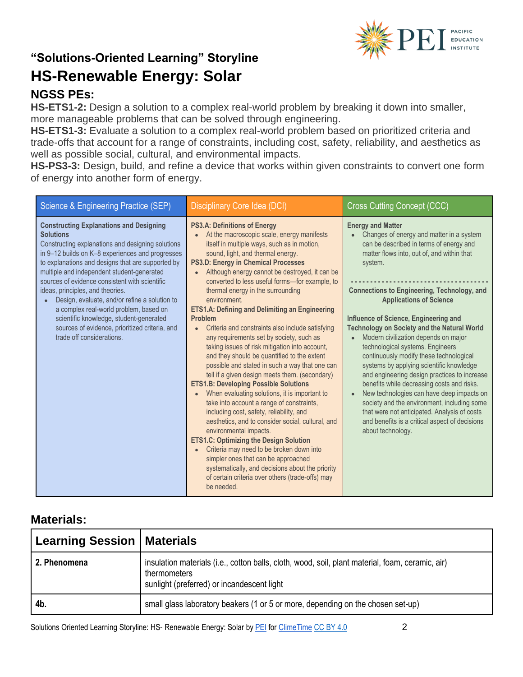

### **NGSS PEs:**

**HS-ETS1-2:** Design a solution to a complex real-world problem by breaking it down into smaller, more manageable problems that can be solved through engineering.

**HS-ETS1-3:** Evaluate a solution to a complex real-world problem based on prioritized criteria and trade-offs that account for a range of constraints, including cost, safety, reliability, and aesthetics as well as possible social, cultural, and environmental impacts.

**HS-PS3-3:** Design, build, and refine a device that works within given constraints to convert one form of energy into another form of energy.

| Science & Engineering Practice (SEP)                                                                                                                                                                                                                                                                                                                                                                                                                                                                                                                                                      | <b>Disciplinary Core Idea (DCI)</b>                                                                                                                                                                                                                                                                                                                                                                                                                                                                                                                                                                                                                                                                                                                                                                                                                                                                                                                                                                                                                                                                                                                                                                                                                                                                                                                              | <b>Cross Cutting Concept (CCC)</b>                                                                                                                                                                                                                                                                                                                                                                                                                                                                                                                                                                                                                                                                                                                                                                                                                  |
|-------------------------------------------------------------------------------------------------------------------------------------------------------------------------------------------------------------------------------------------------------------------------------------------------------------------------------------------------------------------------------------------------------------------------------------------------------------------------------------------------------------------------------------------------------------------------------------------|------------------------------------------------------------------------------------------------------------------------------------------------------------------------------------------------------------------------------------------------------------------------------------------------------------------------------------------------------------------------------------------------------------------------------------------------------------------------------------------------------------------------------------------------------------------------------------------------------------------------------------------------------------------------------------------------------------------------------------------------------------------------------------------------------------------------------------------------------------------------------------------------------------------------------------------------------------------------------------------------------------------------------------------------------------------------------------------------------------------------------------------------------------------------------------------------------------------------------------------------------------------------------------------------------------------------------------------------------------------|-----------------------------------------------------------------------------------------------------------------------------------------------------------------------------------------------------------------------------------------------------------------------------------------------------------------------------------------------------------------------------------------------------------------------------------------------------------------------------------------------------------------------------------------------------------------------------------------------------------------------------------------------------------------------------------------------------------------------------------------------------------------------------------------------------------------------------------------------------|
| <b>Constructing Explanations and Designing</b><br><b>Solutions</b><br>Constructing explanations and designing solutions<br>in 9-12 builds on K-8 experiences and progresses<br>to explanations and designs that are supported by<br>multiple and independent student-generated<br>sources of evidence consistent with scientific<br>ideas, principles, and theories.<br>Design, evaluate, and/or refine a solution to<br>a complex real-world problem, based on<br>scientific knowledge, student-generated<br>sources of evidence, prioritized criteria, and<br>trade off considerations. | <b>PS3.A: Definitions of Energy</b><br>At the macroscopic scale, energy manifests<br>$\bullet$<br>itself in multiple ways, such as in motion,<br>sound, light, and thermal energy.<br><b>PS3.D: Energy in Chemical Processes</b><br>Although energy cannot be destroyed, it can be<br>$\bullet$<br>converted to less useful forms-for example, to<br>thermal energy in the surrounding<br>environment.<br><b>ETS1.A: Defining and Delimiting an Engineering</b><br><b>Problem</b><br>Criteria and constraints also include satisfying<br>$\bullet$<br>any requirements set by society, such as<br>taking issues of risk mitigation into account,<br>and they should be quantified to the extent<br>possible and stated in such a way that one can<br>tell if a given design meets them. (secondary)<br><b>ETS1.B: Developing Possible Solutions</b><br>When evaluating solutions, it is important to<br>$\bullet$<br>take into account a range of constraints,<br>including cost, safety, reliability, and<br>aesthetics, and to consider social, cultural, and<br>environmental impacts.<br><b>ETS1.C: Optimizing the Design Solution</b><br>Criteria may need to be broken down into<br>$\bullet$<br>simpler ones that can be approached<br>systematically, and decisions about the priority<br>of certain criteria over others (trade-offs) may<br>be needed. | <b>Energy and Matter</b><br>Changes of energy and matter in a system<br>can be described in terms of energy and<br>matter flows into, out of, and within that<br>system.<br><b>Connections to Engineering, Technology, and</b><br><b>Applications of Science</b><br>Influence of Science, Engineering and<br><b>Technology on Society and the Natural World</b><br>Modern civilization depends on major<br>technological systems. Engineers<br>continuously modify these technological<br>systems by applying scientific knowledge<br>and engineering design practices to increase<br>benefits while decreasing costs and risks.<br>New technologies can have deep impacts on<br>society and the environment, including some<br>that were not anticipated. Analysis of costs<br>and benefits is a critical aspect of decisions<br>about technology. |

#### **Materials:**

| <b>Learning Session   Materials</b> |                                                                                                                                                                |
|-------------------------------------|----------------------------------------------------------------------------------------------------------------------------------------------------------------|
| 2. Phenomena                        | insulation materials (i.e., cotton balls, cloth, wood, soil, plant material, foam, ceramic, air)<br>thermometers<br>sunlight (preferred) or incandescent light |
| 4b.                                 | small glass laboratory beakers (1 or 5 or more, depending on the chosen set-up)                                                                                |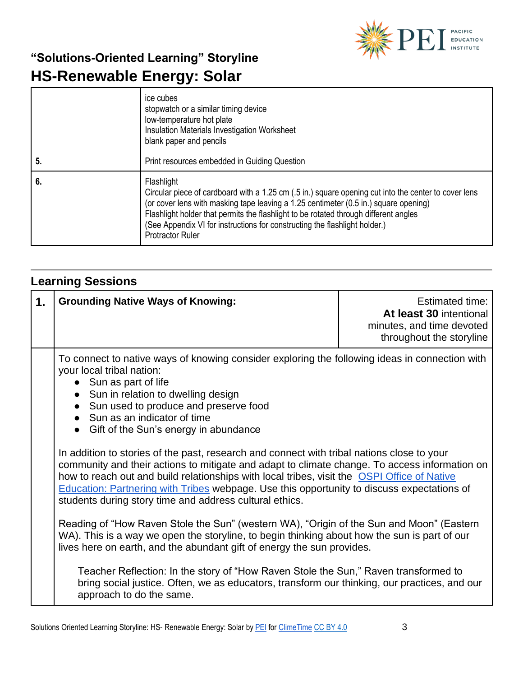

|    | ice cubes<br>stopwatch or a similar timing device<br>low-temperature hot plate<br>Insulation Materials Investigation Worksheet<br>blank paper and pencils                                                                                                                                                                                                                                                   |
|----|-------------------------------------------------------------------------------------------------------------------------------------------------------------------------------------------------------------------------------------------------------------------------------------------------------------------------------------------------------------------------------------------------------------|
| 5. | Print resources embedded in Guiding Question                                                                                                                                                                                                                                                                                                                                                                |
| 6. | Flashlight<br>Circular piece of cardboard with a 1.25 cm (.5 in.) square opening cut into the center to cover lens<br>(or cover lens with masking tape leaving a 1.25 centimeter (0.5 in.) square opening)<br>Flashlight holder that permits the flashlight to be rotated through different angles<br>(See Appendix VI for instructions for constructing the flashlight holder.)<br><b>Protractor Ruler</b> |

### **Learning Sessions**

| 1. | <b>Grounding Native Ways of Knowing:</b>                                                                                                                                                                                                                                                                                                                                                                                                                                                                                                                                                                                                                                                                                                                                                                                                                                                                                                                                                                                                                                                                                                                                                                                                                                   | Estimated time:<br>At least 30 intentional<br>minutes, and time devoted<br>throughout the storyline |
|----|----------------------------------------------------------------------------------------------------------------------------------------------------------------------------------------------------------------------------------------------------------------------------------------------------------------------------------------------------------------------------------------------------------------------------------------------------------------------------------------------------------------------------------------------------------------------------------------------------------------------------------------------------------------------------------------------------------------------------------------------------------------------------------------------------------------------------------------------------------------------------------------------------------------------------------------------------------------------------------------------------------------------------------------------------------------------------------------------------------------------------------------------------------------------------------------------------------------------------------------------------------------------------|-----------------------------------------------------------------------------------------------------|
|    | To connect to native ways of knowing consider exploring the following ideas in connection with<br>your local tribal nation:<br>• Sun as part of life<br>• Sun in relation to dwelling design<br>• Sun used to produce and preserve food<br>• Sun as an indicator of time<br>• Gift of the Sun's energy in abundance<br>In addition to stories of the past, research and connect with tribal nations close to your<br>community and their actions to mitigate and adapt to climate change. To access information on<br>how to reach out and build relationships with local tribes, visit the OSPI Office of Native<br><b>Education: Partnering with Tribes webpage. Use this opportunity to discuss expectations of</b><br>students during story time and address cultural ethics.<br>Reading of "How Raven Stole the Sun" (western WA), "Origin of the Sun and Moon" (Eastern<br>WA). This is a way we open the storyline, to begin thinking about how the sun is part of our<br>lives here on earth, and the abundant gift of energy the sun provides.<br>Teacher Reflection: In the story of "How Raven Stole the Sun," Raven transformed to<br>bring social justice. Often, we as educators, transform our thinking, our practices, and our<br>approach to do the same. |                                                                                                     |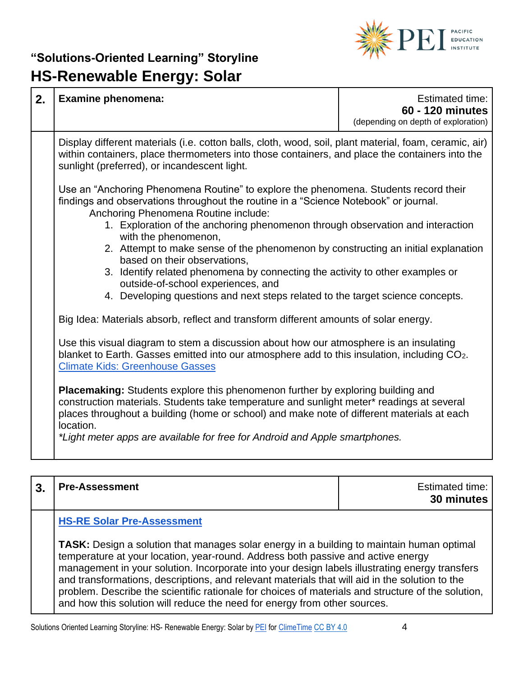

| 2. | <b>Examine phenomena:</b>                                                                                                                                                                                                                                                                                                                                                                                                                                                                                                                                                                                                                                                                                                                                                                                                                                                                                                                                                                                                                                                                                                                                                      | <b>Estimated time:</b><br>60 - 120 minutes<br>(depending on depth of exploration) |
|----|--------------------------------------------------------------------------------------------------------------------------------------------------------------------------------------------------------------------------------------------------------------------------------------------------------------------------------------------------------------------------------------------------------------------------------------------------------------------------------------------------------------------------------------------------------------------------------------------------------------------------------------------------------------------------------------------------------------------------------------------------------------------------------------------------------------------------------------------------------------------------------------------------------------------------------------------------------------------------------------------------------------------------------------------------------------------------------------------------------------------------------------------------------------------------------|-----------------------------------------------------------------------------------|
|    | Display different materials (i.e. cotton balls, cloth, wood, soil, plant material, foam, ceramic, air)<br>within containers, place thermometers into those containers, and place the containers into the<br>sunlight (preferred), or incandescent light.                                                                                                                                                                                                                                                                                                                                                                                                                                                                                                                                                                                                                                                                                                                                                                                                                                                                                                                       |                                                                                   |
|    | Use an "Anchoring Phenomena Routine" to explore the phenomena. Students record their<br>findings and observations throughout the routine in a "Science Notebook" or journal.<br>Anchoring Phenomena Routine include:<br>1. Exploration of the anchoring phenomenon through observation and interaction<br>with the phenomenon,<br>2. Attempt to make sense of the phenomenon by constructing an initial explanation<br>based on their observations,<br>3. Identify related phenomena by connecting the activity to other examples or<br>outside-of-school experiences, and<br>4. Developing questions and next steps related to the target science concepts.<br>Big Idea: Materials absorb, reflect and transform different amounts of solar energy.<br>Use this visual diagram to stem a discussion about how our atmosphere is an insulating<br>blanket to Earth. Gasses emitted into our atmosphere add to this insulation, including CO2.<br><b>Climate Kids: Greenhouse Gasses</b><br><b>Placemaking:</b> Students explore this phenomenon further by exploring building and<br>construction materials. Students take temperature and sunlight meter* readings at several |                                                                                   |
|    | places throughout a building (home or school) and make note of different materials at each<br>location.<br>*Light meter apps are available for free for Android and Apple smartphones.                                                                                                                                                                                                                                                                                                                                                                                                                                                                                                                                                                                                                                                                                                                                                                                                                                                                                                                                                                                         |                                                                                   |

| <b>Pre-Assessment</b>                                                                                                                                                                                                                                                                                                                                                                                                                                                                                                                                                       | Estimated time:<br>30 minutes |
|-----------------------------------------------------------------------------------------------------------------------------------------------------------------------------------------------------------------------------------------------------------------------------------------------------------------------------------------------------------------------------------------------------------------------------------------------------------------------------------------------------------------------------------------------------------------------------|-------------------------------|
| <b>HS-RE Solar Pre-Assessment</b>                                                                                                                                                                                                                                                                                                                                                                                                                                                                                                                                           |                               |
| <b>TASK:</b> Design a solution that manages solar energy in a building to maintain human optimal<br>temperature at your location, year-round. Address both passive and active energy<br>management in your solution. Incorporate into your design labels illustrating energy transfers<br>and transformations, descriptions, and relevant materials that will aid in the solution to the<br>problem. Describe the scientific rationale for choices of materials and structure of the solution,<br>and how this solution will reduce the need for energy from other sources. |                               |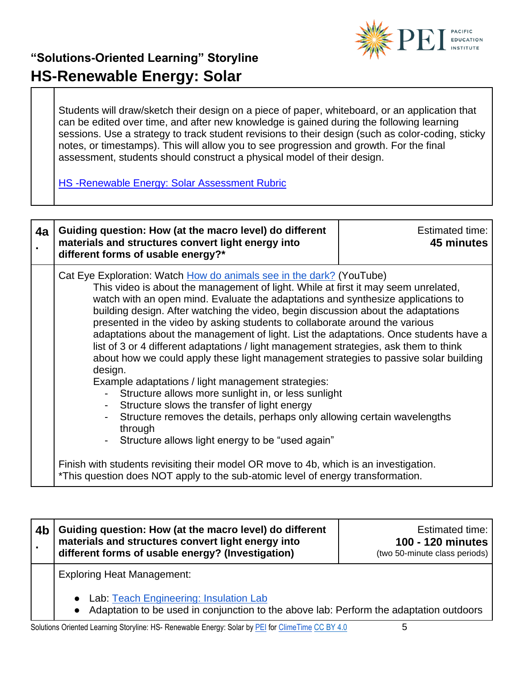

Students will draw/sketch their design on a piece of paper, whiteboard, or an application that can be edited over time, and after new knowledge is gained during the following learning sessions. Use a strategy to track student revisions to their design (such as color-coding, sticky notes, or timestamps). This will allow you to see progression and growth. For the final assessment, students should construct a physical model of their design.

**HS-Renewable Energy: Solar Assessment Rubric** 

| 4a | Guiding question: How (at the macro level) do different<br>materials and structures convert light energy into<br>different forms of usable energy?*                                                                                                                                                                                                                                                                                                                                                                                                                                                                                                                                                                                                                                                                                                                                                                                                                                                                                         | Estimated time:<br>45 minutes |
|----|---------------------------------------------------------------------------------------------------------------------------------------------------------------------------------------------------------------------------------------------------------------------------------------------------------------------------------------------------------------------------------------------------------------------------------------------------------------------------------------------------------------------------------------------------------------------------------------------------------------------------------------------------------------------------------------------------------------------------------------------------------------------------------------------------------------------------------------------------------------------------------------------------------------------------------------------------------------------------------------------------------------------------------------------|-------------------------------|
|    | Cat Eye Exploration: Watch How do animals see in the dark? (YouTube)<br>This video is about the management of light. While at first it may seem unrelated,<br>watch with an open mind. Evaluate the adaptations and synthesize applications to<br>building design. After watching the video, begin discussion about the adaptations<br>presented in the video by asking students to collaborate around the various<br>adaptations about the management of light. List the adaptations. Once students have a<br>list of 3 or 4 different adaptations / light management strategies, ask them to think<br>about how we could apply these light management strategies to passive solar building<br>design.<br>Example adaptations / light management strategies:<br>Structure allows more sunlight in, or less sunlight<br>Structure slows the transfer of light energy<br>Structure removes the details, perhaps only allowing certain wavelengths<br>through<br>Structure allows light energy to be "used again"<br>$\overline{\phantom{0}}$ |                               |
|    | Finish with students revisiting their model OR move to 4b, which is an investigation.<br>*This question does NOT apply to the sub-atomic level of energy transformation.                                                                                                                                                                                                                                                                                                                                                                                                                                                                                                                                                                                                                                                                                                                                                                                                                                                                    |                               |

**4b . Guiding question: How (at the macro level) do different materials and structures convert light energy into different forms of usable energy? (Investigation)** Estimated time: **100 - 120 minutes** (two 50-minute class periods) Exploring Heat Management: ● Lab: [Teach Engineering: Insulation Lab](https://www.teachengineering.org/activities/view/uoh_insulation_activity1) ● Adaptation to be used in conjunction to the above lab: Perform the adaptation outdoors

Solutions Oriented Learning Storyline: HS- Renewable Energy: Solar by [PEI](https://pacificeducationinstitute.org/) for [ClimeTime](https://www.climetime.org/) [CC BY 4.0](https://creativecommons.org/licenses/by/4.0/) 5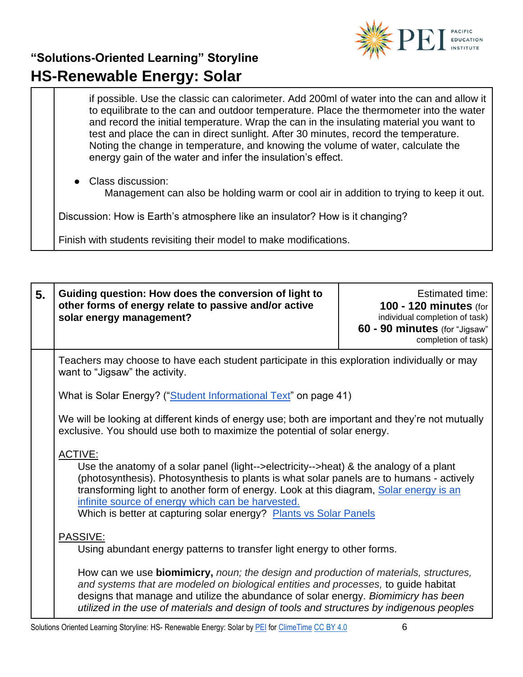

if possible. Use the classic can calorimeter. Add 200ml of water into the can and allow it to equilibrate to the can and outdoor temperature. Place the thermometer into the water and record the initial temperature. Wrap the can in the insulating material you want to test and place the can in direct sunlight. After 30 minutes, record the temperature. Noting the change in temperature, and knowing the volume of water, calculate the energy gain of the water and infer the insulation's effect.

Class discussion: Management can also be holding warm or cool air in addition to trying to keep it out. Discussion: How is Earth's atmosphere like an insulator? How is it changing?

Finish with students revisiting their model to make modifications.

| 5. | Guiding question: How does the conversion of light to<br>other forms of energy relate to passive and/or active<br>solar energy management?                                    | Estimated time:<br><b>100 - 120 minutes (for</b><br>individual completion of task)<br>60 - 90 minutes (for "Jigsaw"<br>completion of task) |
|----|-------------------------------------------------------------------------------------------------------------------------------------------------------------------------------|--------------------------------------------------------------------------------------------------------------------------------------------|
|    | Teachers may choose to have each student participate in this exploration individually or may<br>want to "Jigsaw" the activity.                                                |                                                                                                                                            |
|    | What is Solar Energy? ("Student Informational Text" on page 41)                                                                                                               |                                                                                                                                            |
|    | We will be looking at different kinds of energy use; both are important and they're not mutually<br>exclusive. You should use both to maximize the potential of solar energy. |                                                                                                                                            |
|    | ACTIVE:<br>Use the anatomy of a solar panel (light-->electricity-->heat) & the analogy of a plant                                                                             |                                                                                                                                            |

(photosynthesis). Photosynthesis to plants is what solar panels are to humans - actively transforming light to another form of energy. Look at this diagram, [Solar energy is an](http://www.weamerisolar.eu/france-announces-q1-2013-fits/)  [infinite source of energy which can be harvested.](http://www.weamerisolar.eu/france-announces-q1-2013-fits/)

Which is better at capturing solar energy? [Plants vs Solar Panels](https://youtu.be/vmOIjeIK_uY)

#### PASSIVE:

Using abundant energy patterns to transfer light energy to other forms.

How can we use **biomimicry,** *noun; the design and production of materials, structures, and systems that are modeled on biological entities and processes,* to guide habitat designs that manage and utilize the abundance of solar energy. *Biomimicry has been utilized in the use of materials and design of tools and structures by indigenous peoples*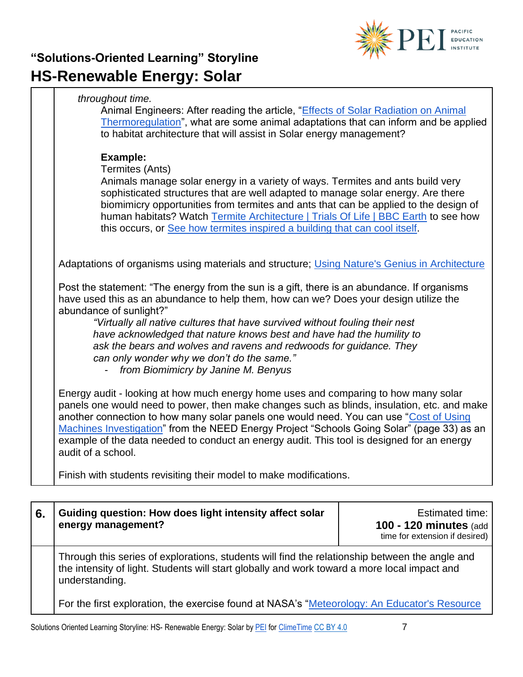

#### *throughout time.*

Animal Engineers: After reading the article, "Effects of Solar Radiation on Animal [Thermoregulation"](https://cdn.intechopen.com/pdfs/33352/intech-effects_of_solar_radiation_on_animal_thermoregulation.pdf), what are some animal adaptations that can inform and be applied to habitat architecture that will assist in Solar energy management?

#### **Example:**

Termites (Ants)

Animals manage solar energy in a variety of ways. Termites and ants build very sophisticated structures that are well adapted to manage solar energy. Are there biomimicry opportunities from termites and ants that can be applied to the design of human habitats? Watch [Termite Architecture | Trials Of Life | BBC Earth](https://youtu.be/jbbLCgh6sso) to see how this occurs, or [See how termites inspired a building that can cool itself.](https://video.nationalgeographic.com/video/magazine/decoder/00000163-4f96-de63-afe7-7fdf708d0000)

Adaptations of organisms using materials and structure; [Using Nature's Genius in Architecture](https://www.youtube.com/watch?v=3QZp6smeSQA&feature=youtu.be)

Post the statement: "The energy from the sun is a gift, there is an abundance. If organisms have used this as an abundance to help them, how can we? Does your design utilize the abundance of sunlight?"

*"Virtually all native cultures that have survived without fouling their nest have acknowledged that nature knows best and have had the humility to ask the bears and wolves and ravens and redwoods for guidance. They can only wonder why we don't do the same."* 

- *from [Biomimicry](http://www.amazon.com/Biomimicry-Innovation-Inspired-Janine-Benyus/dp/0060533226/ref=sr_1_1?s=books&ie=UTF8&qid=1367577400&sr=1-1&keywords=biomimicry) by Janine M. Benyus*

Energy audit - looking at how much energy home uses and comparing to how many solar panels one would need to power, then make changes such as blinds, insulation, etc. and make another connection to how many solar panels one would need. You can use ["Cost of Using](https://shop.need.org/collections/solar/products/schools-going-solar)  [Machines Investigation"](https://shop.need.org/collections/solar/products/schools-going-solar) from the NEED Energy Project "Schools Going Solar" (page 33) as an example of the data needed to conduct an energy audit. This tool is designed for an energy audit of a school.

Finish with students revisiting their model to make modifications.

| 6. | Guiding question: How does light intensity affect solar<br>energy management?                                                                                                                                    | Estimated time:<br><b>100 - 120 minutes (add)</b><br>time for extension if desired) |
|----|------------------------------------------------------------------------------------------------------------------------------------------------------------------------------------------------------------------|-------------------------------------------------------------------------------------|
|    | Through this series of explorations, students will find the relationship between the angle and<br>the intensity of light. Students will start globally and work toward a more local impact and<br>understanding. |                                                                                     |
|    | For the first exploration, the exercise found at NASA's "Meteorology: An Educator's Resource                                                                                                                     |                                                                                     |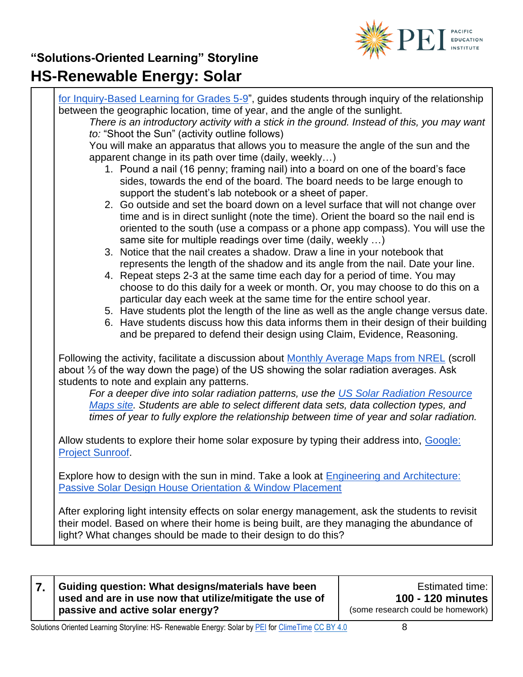

|                         | for Inquiry-Based Learning for Grades 5-9", guides students through inquiry of the relationship                                                                                                                                                                |
|-------------------------|----------------------------------------------------------------------------------------------------------------------------------------------------------------------------------------------------------------------------------------------------------------|
|                         | between the geographic location, time of year, and the angle of the sunlight.<br>There is an introductory activity with a stick in the ground. Instead of this, you may want                                                                                   |
|                         | to: "Shoot the Sun" (activity outline follows)                                                                                                                                                                                                                 |
|                         | You will make an apparatus that allows you to measure the angle of the sun and the                                                                                                                                                                             |
|                         | apparent change in its path over time (daily, weekly)                                                                                                                                                                                                          |
|                         | 1. Pound a nail (16 penny; framing nail) into a board on one of the board's face<br>sides, towards the end of the board. The board needs to be large enough to<br>support the student's lab notebook or a sheet of paper.                                      |
|                         | 2. Go outside and set the board down on a level surface that will not change over                                                                                                                                                                              |
|                         | time and is in direct sunlight (note the time). Orient the board so the nail end is<br>oriented to the south (use a compass or a phone app compass). You will use the                                                                                          |
|                         | same site for multiple readings over time (daily, weekly )                                                                                                                                                                                                     |
|                         | 3. Notice that the nail creates a shadow. Draw a line in your notebook that                                                                                                                                                                                    |
|                         | represents the length of the shadow and its angle from the nail. Date your line.                                                                                                                                                                               |
|                         | 4. Repeat steps 2-3 at the same time each day for a period of time. You may                                                                                                                                                                                    |
|                         | choose to do this daily for a week or month. Or, you may choose to do this on a<br>particular day each week at the same time for the entire school year.                                                                                                       |
|                         | 5. Have students plot the length of the line as well as the angle change versus date.                                                                                                                                                                          |
|                         | 6. Have students discuss how this data informs them in their design of their building<br>and be prepared to defend their design using Claim, Evidence, Reasoning.                                                                                              |
|                         |                                                                                                                                                                                                                                                                |
|                         | Following the activity, facilitate a discussion about <b>Monthly Average Maps from NREL</b> (scroll<br>about $\frac{1}{3}$ of the way down the page) of the US showing the solar radiation averages. Ask                                                       |
|                         | students to note and explain any patterns.<br>For a deeper dive into solar radiation patterns, use the US Solar Radiation Resource                                                                                                                             |
|                         | Maps site. Students are able to select different data sets, data collection types, and                                                                                                                                                                         |
|                         | times of year to fully explore the relationship between time of year and solar radiation.                                                                                                                                                                      |
|                         | Allow students to explore their home solar exposure by typing their address into, Google:                                                                                                                                                                      |
| <b>Project Sunroof.</b> |                                                                                                                                                                                                                                                                |
|                         | Explore how to design with the sun in mind. Take a look at Engineering and Architecture:<br>Passive Solar Design House Orientation & Window Placement                                                                                                          |
|                         | After exploring light intensity effects on solar energy management, ask the students to revisit<br>their model. Based on where their home is being built, are they managing the abundance of<br>light? What changes should be made to their design to do this? |

| Guiding question: What designs/materials have been<br>used and are in use now that utilize/mitigate the use of | Estimated time:<br>100 - 120 minutes |
|----------------------------------------------------------------------------------------------------------------|--------------------------------------|
| passive and active solar energy?                                                                               | (some research could be homework)    |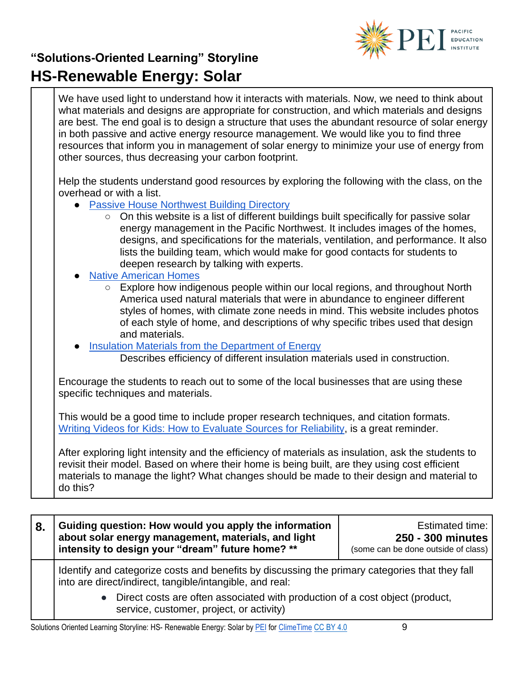

We have used light to understand how it interacts with materials. Now, we need to think about what materials and designs are appropriate for construction, and which materials and designs are best. The end goal is to design a structure that uses the abundant resource of solar energy in both passive and active energy resource management. We would like you to find three resources that inform you in management of solar energy to minimize your use of energy from other sources, thus decreasing your carbon footprint.

Help the students understand good resources by exploring the following with the class, on the overhead or with a list.

- [Passive House Northwest Building Directory](http://phnwdirectory.org/)
	- On this website is a list of different buildings built specifically for passive solar energy management in the Pacific Northwest. It includes images of the homes, designs, and specifications for the materials, ventilation, and performance. It also lists the building team, which would make for good contacts for students to deepen research by talking with experts.
- **[Native American Homes](http://www.native-languages.org/houses.htm)** 
	- Explore how indigenous people within our local regions, and throughout North America used natural materials that were in abundance to engineer different styles of homes, with climate zone needs in mind. This website includes photos of each style of home, and descriptions of why specific tribes used that design and materials.
- [Insulation Materials from the Department of Energy](https://www.energy.gov/energysaver/weatherize/insulation/insulation-materials)

Describes efficiency of different insulation materials used in construction.

Encourage the students to reach out to some of the local businesses that are using these specific techniques and materials.

This would be a good time to include proper research techniques, and citation formats. [Writing Videos for Kids: How to Evaluate Sources for Reliability,](https://www.youtube.com/watch?v=q1k8rcYUmbQ) is a great reminder.

After exploring light intensity and the efficiency of materials as insulation, ask the students to revisit their model. Based on where their home is being built, are they using cost efficient materials to manage the light? What changes should be made to their design and material to do this?

| 8.                                                                                                                       | Guiding question: How would you apply the information<br>about solar energy management, materials, and light<br>intensity to design your "dream" future home? ** | <b>Estimated time:</b><br>250 - 300 minutes<br>(some can be done outside of class) |  |
|--------------------------------------------------------------------------------------------------------------------------|------------------------------------------------------------------------------------------------------------------------------------------------------------------|------------------------------------------------------------------------------------|--|
|                                                                                                                          | Identify and categorize costs and benefits by discussing the primary categories that they fall<br>into are direct/indirect, tangible/intangible, and real:       |                                                                                    |  |
| Direct costs are often associated with production of a cost object (product,<br>service, customer, project, or activity) |                                                                                                                                                                  |                                                                                    |  |

Solutions Oriented Learning Storyline: HS- Renewable Energy: Solar by [PEI](https://pacificeducationinstitute.org/) for [ClimeTime](https://www.climetime.org/) [CC BY 4.0](https://creativecommons.org/licenses/by/4.0/) 9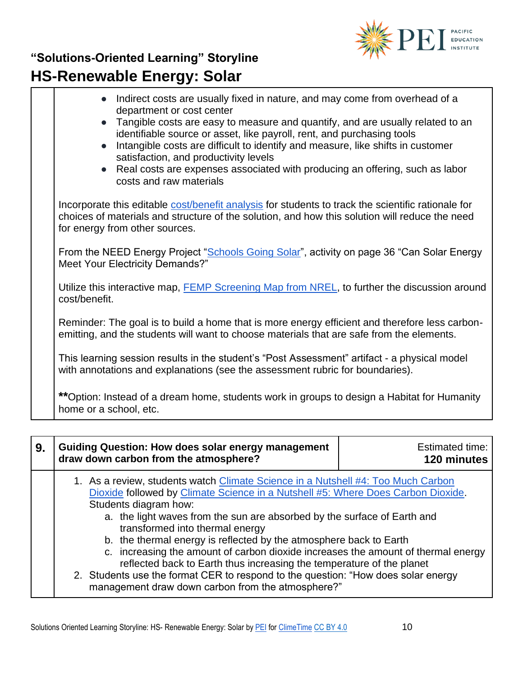

| Indirect costs are usually fixed in nature, and may come from overhead of a<br>$\bullet$<br>department or cost center<br>• Tangible costs are easy to measure and quantify, and are usually related to an<br>identifiable source or asset, like payroll, rent, and purchasing tools<br>Intangible costs are difficult to identify and measure, like shifts in customer<br>$\bullet$<br>satisfaction, and productivity levels<br>Real costs are expenses associated with producing an offering, such as labor<br>$\bullet$<br>costs and raw materials |  |
|------------------------------------------------------------------------------------------------------------------------------------------------------------------------------------------------------------------------------------------------------------------------------------------------------------------------------------------------------------------------------------------------------------------------------------------------------------------------------------------------------------------------------------------------------|--|
| Incorporate this editable cost/benefit analysis for students to track the scientific rationale for<br>choices of materials and structure of the solution, and how this solution will reduce the need<br>for energy from other sources.                                                                                                                                                                                                                                                                                                               |  |
| From the NEED Energy Project "Schools Going Solar", activity on page 36 "Can Solar Energy<br>Meet Your Electricity Demands?"                                                                                                                                                                                                                                                                                                                                                                                                                         |  |
| Utilize this interactive map, <b>FEMP</b> Screening Map from NREL, to further the discussion around<br>cost/benefit.                                                                                                                                                                                                                                                                                                                                                                                                                                 |  |
| Reminder: The goal is to build a home that is more energy efficient and therefore less carbon-<br>emitting, and the students will want to choose materials that are safe from the elements.                                                                                                                                                                                                                                                                                                                                                          |  |
| This learning session results in the student's "Post Assessment" artifact - a physical model<br>with annotations and explanations (see the assessment rubric for boundaries).                                                                                                                                                                                                                                                                                                                                                                        |  |
| ** Option: Instead of a dream home, students work in groups to design a Habitat for Humanity<br>home or a school, etc.                                                                                                                                                                                                                                                                                                                                                                                                                               |  |

| 9. | <b>Guiding Question: How does solar energy management</b><br>draw down carbon from the atmosphere?                                                                                                                                                                                                                                                                                                                                                                                                                                                                                                                                                                                         | <b>Estimated time:</b><br>120 minutes |
|----|--------------------------------------------------------------------------------------------------------------------------------------------------------------------------------------------------------------------------------------------------------------------------------------------------------------------------------------------------------------------------------------------------------------------------------------------------------------------------------------------------------------------------------------------------------------------------------------------------------------------------------------------------------------------------------------------|---------------------------------------|
|    | 1. As a review, students watch Climate Science in a Nutshell #4: Too Much Carbon<br>Dioxide followed by Climate Science in a Nutshell #5: Where Does Carbon Dioxide.<br>Students diagram how:<br>a. the light waves from the sun are absorbed by the surface of Earth and<br>transformed into thermal energy<br>b. the thermal energy is reflected by the atmosphere back to Earth<br>c. increasing the amount of carbon dioxide increases the amount of thermal energy<br>reflected back to Earth thus increasing the temperature of the planet<br>2. Students use the format CER to respond to the question: "How does solar energy<br>management draw down carbon from the atmosphere?" |                                       |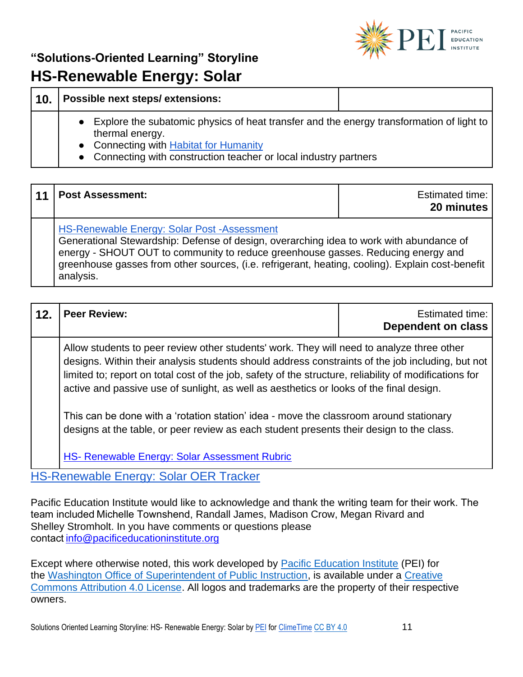

| 10. |           | Possible next steps/extensions:                                                                                                                                                                                                   |
|-----|-----------|-----------------------------------------------------------------------------------------------------------------------------------------------------------------------------------------------------------------------------------|
|     | $\bullet$ | Explore the subatomic physics of heat transfer and the energy transformation of light to<br>thermal energy.<br>• Connecting with <b>Habitat for Humanity</b><br>• Connecting with construction teacher or local industry partners |

| 11 | <b>Post Assessment:</b>                                                                                                                                                                                                                                                                                                                     | Estimated time:<br>20 minutes |
|----|---------------------------------------------------------------------------------------------------------------------------------------------------------------------------------------------------------------------------------------------------------------------------------------------------------------------------------------------|-------------------------------|
|    | HS-Renewable Energy: Solar Post -Assessment<br>Generational Stewardship: Defense of design, overarching idea to work with abundance of<br>energy - SHOUT OUT to community to reduce greenhouse gasses. Reducing energy and<br>greenhouse gasses from other sources, (i.e. refrigerant, heating, cooling). Explain cost-benefit<br>analysis. |                               |

| 12. | <b>Peer Review:</b>                                                                                                                                                                                                                                                                                                                                                                                                                                                                                                                                                                      | <b>Estimated time:</b><br><b>Dependent on class</b> |  |
|-----|------------------------------------------------------------------------------------------------------------------------------------------------------------------------------------------------------------------------------------------------------------------------------------------------------------------------------------------------------------------------------------------------------------------------------------------------------------------------------------------------------------------------------------------------------------------------------------------|-----------------------------------------------------|--|
|     | Allow students to peer review other students' work. They will need to analyze three other<br>designs. Within their analysis students should address constraints of the job including, but not<br>limited to; report on total cost of the job, safety of the structure, reliability of modifications for<br>active and passive use of sunlight, as well as aesthetics or looks of the final design.<br>This can be done with a 'rotation station' idea - move the classroom around stationary<br>designs at the table, or peer review as each student presents their design to the class. |                                                     |  |
|     |                                                                                                                                                                                                                                                                                                                                                                                                                                                                                                                                                                                          |                                                     |  |
|     | HS- Renewable Energy: Solar Assessment Rubric<br><b>LIC Departuale Freezow Calor OFD Treater</b>                                                                                                                                                                                                                                                                                                                                                                                                                                                                                         |                                                     |  |

[HS-Renewable Energy: Solar OER Tracker](https://pacificeductioninstitute.sharepoint.com/:x:/s/Program/EaPd3NpnpnRErtOCDrLwmi8B4KaB1kAdtR5ua3-0WMb8Pw?e=cAm3Pt)

Pacific Education Institute would like to acknowledge and thank the writing team for their work. The   team included Michelle Townshend, Randall James, Madison Crow, Megan Rivard and Shelley Stromholt. In you have comments or questions please contact[info@pacificeducationinstitute.org](mailto:info@pacificeducationinstitute.org)   

Except where otherwise noted, this work developed by [Pacific Education Institute](https://nam02.safelinks.protection.outlook.com/?url=https%3A%2F%2Fpacificeducationinstitute.org%2F&data=04%7C01%7CElizabeth.Schmitz%40k12.wa.us%7C41f396bd8007472104cb08d946428fd9%7Cb2fe5ccf10a546feae45a0267412af7a%7C0%7C0%7C637618073981325962%7CUnknown%7CTWFpbGZsb3d8eyJWIjoiMC4wLjAwMDAiLCJQIjoiV2luMzIiLCJBTiI6Ik1haWwiLCJXVCI6Mn0%3D%7C1000&sdata=bGDGs0ZeLGXUnzJBFLiT91OzKcAt%2B4CpOx%2Fz7d%2Fj%2BVY%3D&reserved=0) (PEI) for the [Washington Office of Superintendent of Public Instruction,](https://www.k12.wa.us/) is available under a [Creative](https://nam02.safelinks.protection.outlook.com/?url=https%3A%2F%2Fcreativecommons.org%2Flicenses%2Fby%2F4.0%2F&data=04%7C01%7CElizabeth.Schmitz%40k12.wa.us%7C41f396bd8007472104cb08d946428fd9%7Cb2fe5ccf10a546feae45a0267412af7a%7C0%7C0%7C637618073981335914%7CUnknown%7CTWFpbGZsb3d8eyJWIjoiMC4wLjAwMDAiLCJQIjoiV2luMzIiLCJBTiI6Ik1haWwiLCJXVCI6Mn0%3D%7C1000&sdata=EVtTsbTEYq4W788GWvtudjm9DAMzIqPoHLyx5v1hPjk%3D&reserved=0)  [Commons Attribution 4.0 License.](https://nam02.safelinks.protection.outlook.com/?url=https%3A%2F%2Fcreativecommons.org%2Flicenses%2Fby%2F4.0%2F&data=04%7C01%7CElizabeth.Schmitz%40k12.wa.us%7C41f396bd8007472104cb08d946428fd9%7Cb2fe5ccf10a546feae45a0267412af7a%7C0%7C0%7C637618073981335914%7CUnknown%7CTWFpbGZsb3d8eyJWIjoiMC4wLjAwMDAiLCJQIjoiV2luMzIiLCJBTiI6Ik1haWwiLCJXVCI6Mn0%3D%7C1000&sdata=EVtTsbTEYq4W788GWvtudjm9DAMzIqPoHLyx5v1hPjk%3D&reserved=0) All logos and trademarks are the property of their respective owners.